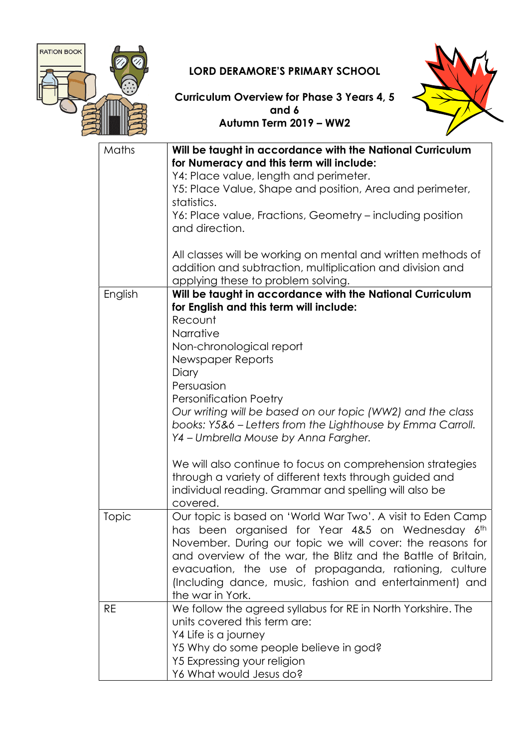

## LORD DERAMORE'S PRIMARY SCHOOL



Curriculum Overview for Phase 3 Years 4, 5 and 6 Autumn Term 2019 – WW2

| Maths     | Will be taught in accordance with the National Curriculum<br>for Numeracy and this term will include:<br>Y4: Place value, length and perimeter.<br>Y5: Place Value, Shape and position, Area and perimeter,<br>statistics.<br>Y6: Place value, Fractions, Geometry – including position<br>and direction.<br>All classes will be working on mental and written methods of<br>addition and subtraction, multiplication and division and                                                                                                                                                                  |
|-----------|---------------------------------------------------------------------------------------------------------------------------------------------------------------------------------------------------------------------------------------------------------------------------------------------------------------------------------------------------------------------------------------------------------------------------------------------------------------------------------------------------------------------------------------------------------------------------------------------------------|
|           | applying these to problem solving.                                                                                                                                                                                                                                                                                                                                                                                                                                                                                                                                                                      |
| English   | Will be taught in accordance with the National Curriculum<br>for English and this term will include:<br>Recount<br>Narrative<br>Non-chronological report<br>Newspaper Reports<br>Diary<br>Persuasion<br><b>Personification Poetry</b><br>Our writing will be based on our topic (WW2) and the class<br>books: Y5&6 - Letters from the Lighthouse by Emma Carroll.<br>Y4 - Umbrella Mouse by Anna Fargher.<br>We will also continue to focus on comprehension strategies<br>through a variety of different texts through guided and<br>individual reading. Grammar and spelling will also be<br>covered. |
| Topic     | Our topic is based on 'World War Two'. A visit to Eden Camp<br>has been organised for Year 4&5 on Wednesday 6th<br>November. During our topic we will cover: the reasons for<br>and overview of the war, the Blitz and the Battle of Britain,<br>evacuation, the use of propaganda, rationing, culture<br>(Including dance, music, fashion and entertainment) and<br>the war in York.                                                                                                                                                                                                                   |
| <b>RE</b> | We follow the agreed syllabus for RE in North Yorkshire. The<br>units covered this term are:<br>Y4 Life is a journey<br>Y5 Why do some people believe in god?<br>Y5 Expressing your religion<br>Y6 What would Jesus do?                                                                                                                                                                                                                                                                                                                                                                                 |